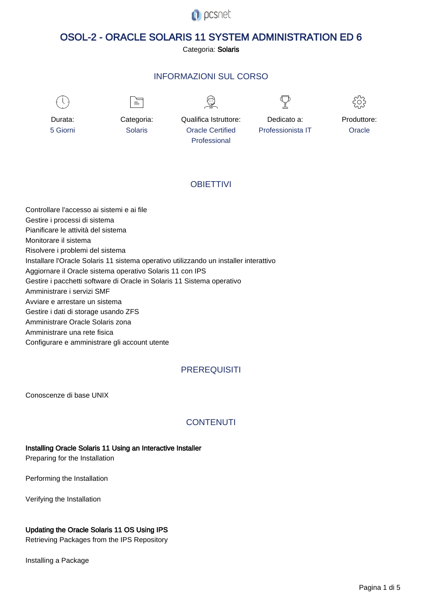

# OSOL-2 - ORACLE SOLARIS 11 SYSTEM ADMINISTRATION ED 6

Categoria: Solaris

# INFORMAZIONI SUL CORSO

Qualifica Istruttore: Oracle Certified Professional



Durata: 5 Giorni ≡

Categoria: Solaris



Dedicato a: Professionista IT

Produttore: **Oracle** 

# **OBIFTTIVI**

Controllare l'accesso ai sistemi e ai file Gestire i processi di sistema Pianificare le attività del sistema Monitorare il sistema Risolvere i problemi del sistema Installare l'Oracle Solaris 11 sistema operativo utilizzando un installer interattivo Aggiornare il Oracle sistema operativo Solaris 11 con IPS Gestire i pacchetti software di Oracle in Solaris 11 Sistema operativo Amministrare i servizi SMF Avviare e arrestare un sistema Gestire i dati di storage usando ZFS Amministrare Oracle Solaris zona Amministrare una rete fisica Configurare e amministrare gli account utente

# **PREREQUISITI**

Conoscenze di base UNIX

# **CONTENUTI**

#### Installing Oracle Solaris 11 Using an Interactive Installer

Preparing for the Installation

Performing the Installation

Verifying the Installation

# Updating the Oracle Solaris 11 OS Using IPS

Retrieving Packages from the IPS Repository

Installing a Package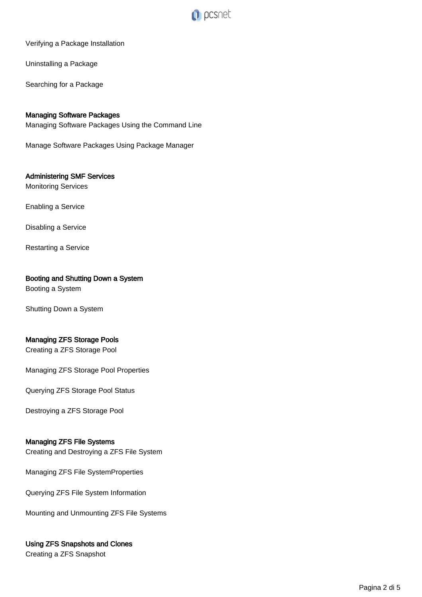

#### Verifying a Package Installation

Uninstalling a Package

Searching for a Package

### Managing Software Packages

Managing Software Packages Using the Command Line

Manage Software Packages Using Package Manager

# Administering SMF Services

Monitoring Services

Enabling a Service

Disabling a Service

Restarting a Service

#### Booting and Shutting Down a System

Booting a System

Shutting Down a System

#### Managing ZFS Storage Pools

Creating a ZFS Storage Pool

Managing ZFS Storage Pool Properties

Querying ZFS Storage Pool Status

Destroying a ZFS Storage Pool

#### Managing ZFS File Systems

Creating and Destroying a ZFS File System

Managing ZFS File SystemProperties

Querying ZFS File System Information

Mounting and Unmounting ZFS File Systems

#### Using ZFS Snapshots and Clones

Creating a ZFS Snapshot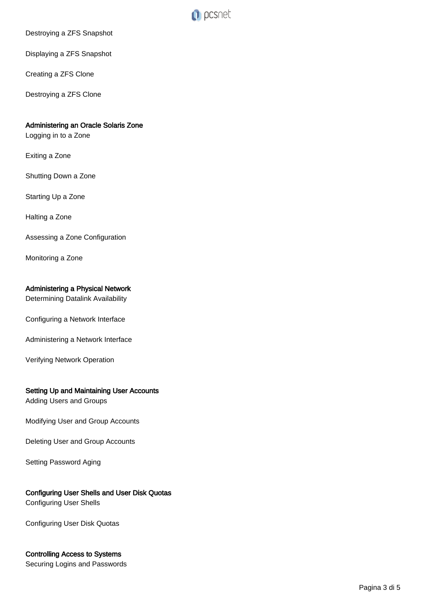

Destroying a ZFS Snapshot

Displaying a ZFS Snapshot

Creating a ZFS Clone

Destroying a ZFS Clone

### Administering an Oracle Solaris Zone

Logging in to a Zone

Exiting a Zone

Shutting Down a Zone

Starting Up a Zone

Halting a Zone

Assessing a Zone Configuration

Monitoring a Zone

#### Administering a Physical Network

Determining Datalink Availability

Configuring a Network Interface

Administering a Network Interface

Verifying Network Operation

### Setting Up and Maintaining User Accounts

Adding Users and Groups

Modifying User and Group Accounts

Deleting User and Group Accounts

Setting Password Aging

# Configuring User Shells and User Disk Quotas

Configuring User Shells

Configuring User Disk Quotas

# Controlling Access to Systems

Securing Logins and Passwords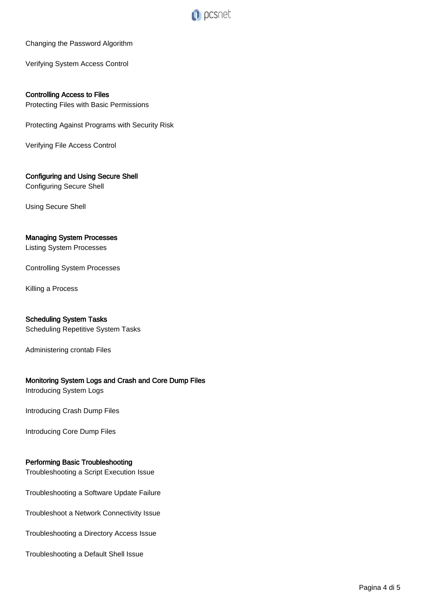

### Changing the Password Algorithm

Verifying System Access Control

Controlling Access to Files Protecting Files with Basic Permissions

Protecting Against Programs with Security Risk

Verifying File Access Control

# Configuring and Using Secure Shell

Configuring Secure Shell

Using Secure Shell

### Managing System Processes

Listing System Processes

Controlling System Processes

Killing a Process

### Scheduling System Tasks

Scheduling Repetitive System Tasks

Administering crontab Files

# Monitoring System Logs and Crash and Core Dump Files

Introducing System Logs

Introducing Crash Dump Files

Introducing Core Dump Files

#### Performing Basic Troubleshooting

Troubleshooting a Script Execution Issue

Troubleshooting a Software Update Failure

Troubleshoot a Network Connectivity Issue

Troubleshooting a Directory Access Issue

Troubleshooting a Default Shell Issue